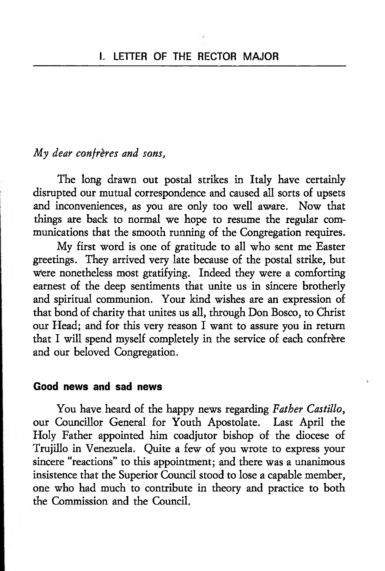### *My dear confreres and sons,*

The long drawn out postal strikes in Italy have certainly disrupted our mutual correspondence and caused all sorts of upsets and inconveniences, as you are only too well aware. Now that things are back to normal we hope to resume the regular communications that the smooth running of the Congregation requires.

My first word is one of gratitude to all who sent me Easter greetings. They arrived very late because of the postal strike, but were nonetheless most gratifying. Indeed they were a comforting earnest of the deep sentiments that unite us in sincere brotherly and spiritual communion. Your kind wishes are an expression of that bond of charity that unites us all, through Don Bosco, to Christ our Head; and for this very reason I want to assure you in return that I will spend myself completely in the service of each confrere and our beloved Congregation.

### **Good news and sad news**

You have heard of the happy news regarding *Father Castillo,* our Councillor General for Youth Apostolate. Last April the Holy Father appointed him coadjutor bishop of the diocese of Trujillo in Venezuela. Quite a few of you wrote to express your sincere "reactions" to this appointment; and there was a unanimous insistence that the Superior Council stood to lose a capable member, one who had much to contribute in theory and practice to both the Commission and the Council.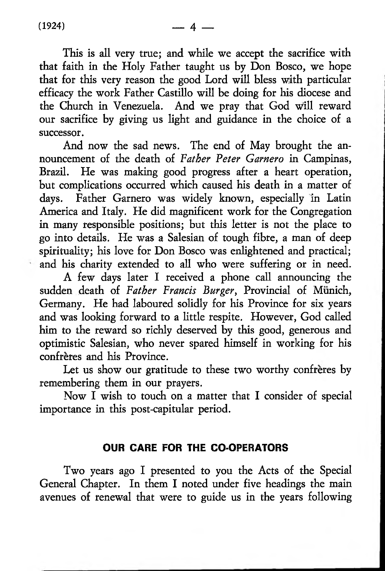This is all very true; and while we accept the sacrifice with that faith in the Holy Father taught us by Don Bosco, we hope that for this very reason the good Lord will bless with particular efficacy the work Father Castillo will be doing for his diocese and the Church in Venezuela. And we pray that God will reward our sacrifice by giving us light and guidance in the choice of a successor.

And now the sad news. The end of May brought the announcement of the death of *Father Peter Garnero* in Campinas, Brazil. He was making good progress after a heart operation, but complications occurred which caused his death in a matter of days. Father Garnero was widely known, especially in Latin America and Italy. He did magnificent work for the Congregation in many responsible positions; but this letter is not the place to go into details. He was a Salesian of tough fibre, a man of deep spirituality; his love for Don Bosco was enlightened and practical; and his charity extended to all who were suffering or in need.

A few days later I received a phone call announcing the sudden death of *Father Francis Burger,* Provincial of Munich, Germany. He had laboured solidly for his Province for six years and was looking forward to a little respite. However, God called him to the reward so richly deserved by this good, generous and optimistic Salesian, who never spared himself in working for his confrères and his Province.

Let us show our gratitude to these two worthy confrères by remembering them in our prayers.

Now I wish to touch on a matter that I consider of special importance in this post-capitular period.

#### **OUR CARE FOR THE CO-OPERATORS**

Two years ago I presented to you the Acts of the Special General Chapter. In them I noted under five headings the main avenues of renewal that were to guide us in the years following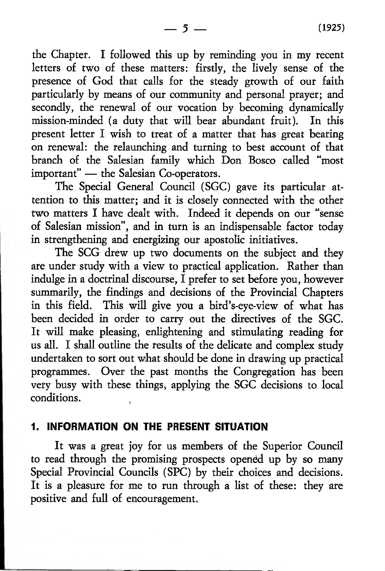the Chapter. I followed this up by reminding you in my recent letters of two of these matters: firstly, the lively sense of the presence of God that calls for the steady growth of our faith particularly by means of our community and personal prayer; and secondly, the renewal of our vocation by becoming dynamically mission-minded (a duty that will bear abundant fruit). In this present letter I wish to treat of a matter that has great bearing on renewal: the relaunching and turning to best account of that branch of the Salesian family which Don Bosco called "most important" — the Salesian Co-operators.

The Special General Council (SGC) gave its particular attention to this matter; and it is closely connected with the other two matters I have dealt with. Indeed it depends on our "sense of Salesian mission", and in turn is an indispensable factor today in strengthening and energizing our apostolic initiatives.

The SCG drew up two documents on the subject and they are under study with a view to practical application. Rather than indulge in a doctrinal discourse, I prefer to set before you, however summarily, the findings and decisions of the Provincial Chapters in this field. This will give you a bird's-eye-view of what has been decided in order to carry out the directives of the SGC. It will make pleasing, enlightening and stimulating reading for us all. I shall outline the results of the delicate and complex study undertaken to sort out what should be done in drawing up practical programmes. Over the past months the Congregation has been very busy with these things, applying the SGC decisions to local conditions.

### **1. INFORMATION ON THE PRESENT SITUATION**

It was a great joy for us members of the Superior Council to read through the promising prospects opened up by so many Special Provincial Councils (SPC) by their choices and decisions. It is a pleasure for me to run through a list of these: they are positive and full of encouragement.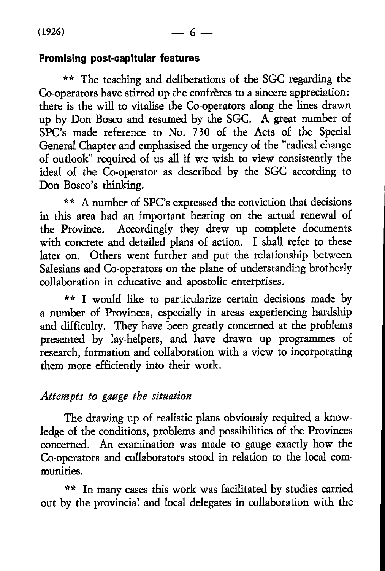### **Promising post-capitular features**

\*\* The teaching and deliberations of the SGC regarding the Co-operators have stirred up the confreres to a sincere appreciation: there is the will to vitalise the Co-operators along the lines drawn up by Don Bosco and resumed by the SGC. A great number of SPC's made reference to No. 730 of the Acts of the Special General Chapter and emphasised the urgency of the "radical change of oudook" required of us all if we wish to view consistently the ideal of the Co-operator as described by the SGC according to Don Bosco's thinking.

\*\* A number of SPC's expressed the conviction that decisions in this area had an important bearing on the actual renewal of the Province. Accordingly they drew up complete documents with concrete and detailed plans of action. I shall refer to these later on. Others went further and put the relationship between Salesians and Co-operators on the plane of understanding brotherly collaboration in educative and apostolic enterprises.

\*\* I would like to particularize certain decisions made by a number of Provinces, especially in areas experiencing hardship and difficulty. They have been greatly concerned at the problems presented by lay-helpers, and have drawn up programmes of research, formation and collaboration with a view to incorporating them more efficiendy into their work.

## *Attempts to gauge the situation*

The drawing up of realistic plans obviously required a knowledge of the conditions, problems and possibilities of the Provinces concerned. An examination was made to gauge exactly how the Co-operators and collaborators stood in relation to the local communities.

\*\* In many cases this work was facilitated by studies carried out by the provincial and local delegates in collaboration with the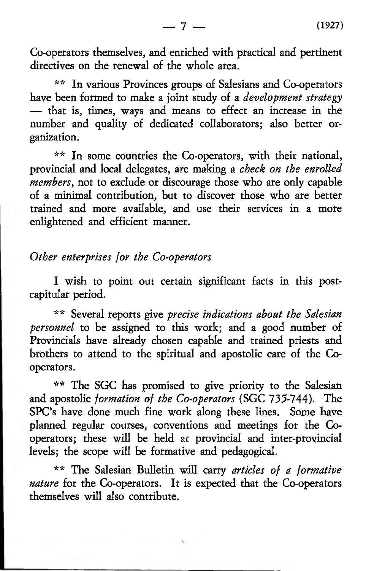Co-operators themselves, and enriched with practical and pertinent directives on the renewal of the whole area.

\*\* In various Provinces groups of Salesians and Co-operators have been formed to make a joint study of a *development strategy* — that is, times, ways and means to effect an increase in the number and quality of dedicated collaborators; also better organization.

*\*\** In some countries the Co-operators, with their national, provincial and local delegates, are making a *check on the enrolled members,* not to exclude or discourage those who are only capable of a minimal contribution, but to discover those who are better trained and more available, and use their services in a more enlightened and efficient manner.

### *Other enterprises for the Co-operators*

I wish to point out certain significant facts in this postcapitular period.

\*\* Several reports give *precise indications about the Salesian personnel* to be assigned to this work; and a good number of Provincials have already chosen capable and trained priests and brothers to attend to the spiritual and apostolic care of the Cooperators.

\*\* The SGC has promised to give priority to the Salesian and apostolic *formation of the Co-operators* (SGC 735-744). The SPC's have done much fine work along these lines. Some have planned regular courses, conventions and meetings for the Cooperators; these will be held at provincial and inter-provincial levels; the scope will be formative and pedagogical.

\*\* The Salesian Bulletin will carry *articles of a formative nature* for the Co-operators. It is expected that the Co-operators themselves will also contribute.

 $\mathcal{L}$ 

— 7 — **(** 1927**)**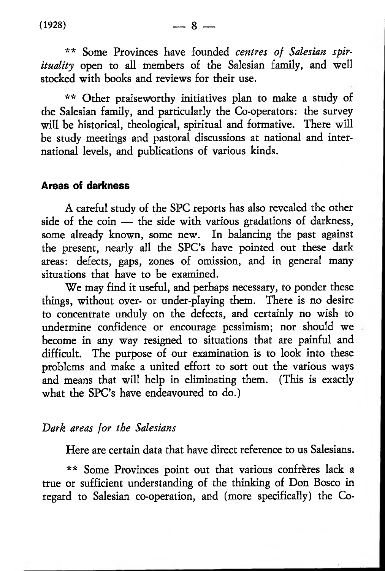\*\* Other praiseworthy initiatives plan to make a study of the Salesian family, and particularly the Co-operators: the survey will be historical, theological, spiritual and formative. There will be study meetings and pastoral discussions at national and international levels, and publications of various kinds.

### **Areas of darkness**

A careful study of the SPC reports has also revealed the other side of the coin — the side with various gradations of darkness, some already known, some new. In balancing the past against the present, nearly all the SPC's have pointed out these dark areas: defects, gaps, zones of omission, and in general many situations that have to be examined.

We may find it useful, and perhaps necessary, to ponder these things, without over- or under-playing them. There is no desire to concentrate unduly on the defects, and certainly no wish to undermine confidence or encourage pessimism; nor should we become in any way resigned to situations that are painful and difficult. The purpose of our examination is to look into these problems and make a united effort to sort out the various ways and means that will help in eliminating them. (This is exactly what the SPC's have endeavoured to do.)

## *Dark areas for the Salesians*

Here are certain data that have direct reference to us Salesians.

\*\* Some Provinces point out that various confreres lack a true or sufficient understanding of the thinking of Don Bosco in regard to Salesian co-operation, and (more specifically) the Co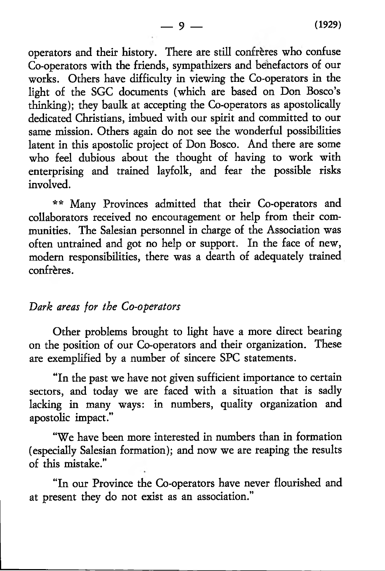operators and their history. There are still confreres who confuse Co-operators with the friends, sympathizers and benefactors of our works. Others have difficulty in viewing the Co-operators in the light of the SGC documents (which are based on Don Bosco's thinking); they baulk at accepting the Co-operators as apostolically dedicated Christians, imbued with our spirit and committed to our same mission. Others again do not see the wonderful possibilities latent in this apostolic project of Don Bosco. And there are some who feel dubious about the thought of having to work with enterprising and trained layfolk, and fear the possible risks involved.

\*\* Many Provinces admitted that their Co-operators and collaborators received no encouragement or help from their communities. The Salesian personnel in charge of the Association was often untrained and got no help or support. In the face of new, modern responsibilities, there was a dearth of adequately trained confrères.

## *Dark areas for the Co-operators*

Other problems brought to light have a more direct bearing on the position of our Co-operators and their organization. These are exemplified by a number of sincere SPC statements.

"In the past we have not given sufficient importance to certain sectors, and today we are faced with a situation that is sadly lacking in many ways: in numbers, quality organization and apostolic impact."

"We have been more interested in numbers than in formation (especially Salesian formation); and now we are reaping the results of this mistake."

"In our Province the Co-operators have never flourished and at present they do not exist as an association."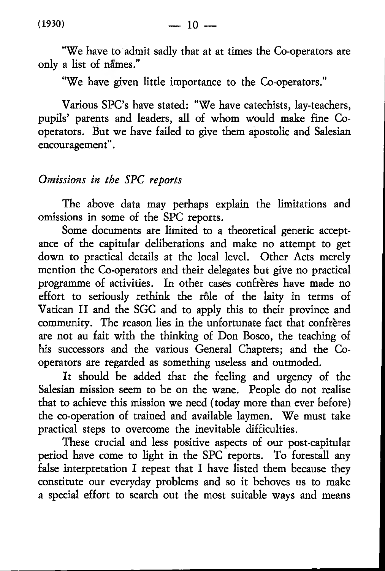"We have to admit sadly that at at times the Co-operators are only a list of names."

"We have given little importance to the Co-operators."

Various SPC's have stated: "We have catechists, lay-teachers, pupils' parents and leaders, all of whom would make fine Cooperators. But we have failed to give them apostolic and Salesian encouragement".

# *Omissions in the SPC reports*

The above data may perhaps explain the limitations and omissions in some of the SPC reports.

Some documents are limited to a theoretical generic acceptance of the capitular deliberations and make no attempt to get down to practical details at the local level. Other Acts merely mention the Co-operators and their delegates but give no practical programme of activities. In other cases confreres have made no effort to seriously rethink the rôle of the laity in terms of Vatican II and the SGC and to apply this to their province and community. The reason lies in the unfortunate fact that confrères are not au fait with the thinking of Don Bosco, the teaching of his successors and the various General Chapters; and the Cooperators are regarded as something useless and outmoded.

It should be added that the feeling and urgency of the Salesian mission seem to be on the wane. People do not realise that to achieve this mission we need (today more than ever before) the co-operation of trained and available laymen. We must take practical steps to overcome the inevitable difficulties.

These crucial and less positive aspects of our post-capitular period have come to light in the SPC reports. To forestall any false interpretation I repeat that I have listed them because they constitute our everyday problems and so it behoves us to make a special effort to search out the most suitable ways and means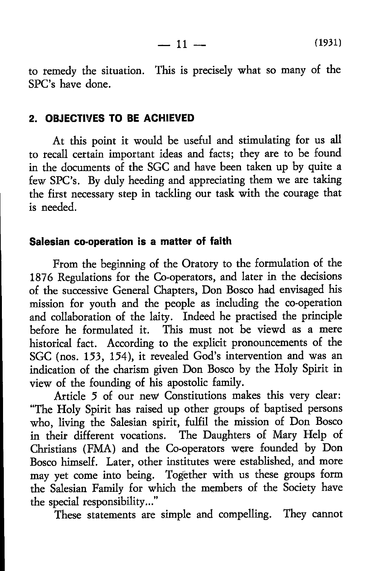$-11 -$ **(**1931**)**

to remedy the situation. This is precisely what so many of the SPC's have done.

#### **2. OBJECTIVES TO BE ACHIEVED**

At this point it would be useful and stimulating for us all to recall certain important ideas and facts; they are to be found in the documents of the SGC and have been taken up by quite a few SPC's. By duly heeding and appreciating them we are taking the first necessary step in tackling our task with the courage that is needed.

#### **Salesian co-operation Is a matter of faith**

From the beginning of the Oratory to the formulation of the 1876 Regulations for the Co-operators, and later in the decisions of the successive General Chapters, Don Bosco had envisaged his mission for youth and the people as including the co-operation and collaboration of the laity. Indeed he practised the principle before he formulated it. This must not be viewd as a mere historical fact. According to the explicit pronouncements of the SGC (nos. 153, 154), it revealed God's intervention and was an indication of the charism given Don Bosco by the Holy Spirit in view of the founding of his apostolic family.

Article 5 of our new Constitutions makes this very clear: "The Holy Spirit has raised up other groups of baptised persons who, living the Salesian spirit, fulfil the mission of Don Bosco in their different vocations. The Daughters of Mary Help of Christians (FMA) and the Co-operators were founded by Don Bosco himself. Later, other institutes were established, and more may yet come into being. Together with us these groups form the Salesian Family for which the members of the Society have the special responsibility..."

These statements are simple and compelling. They cannot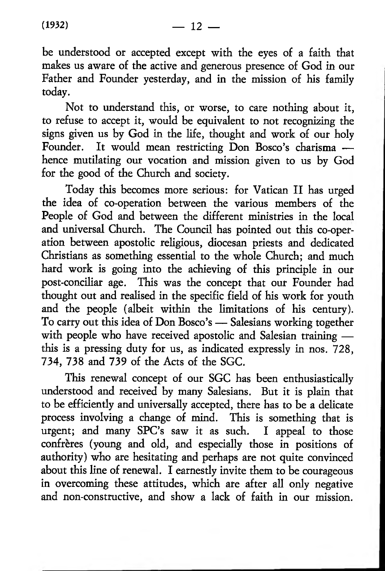be understood or accepted except with the eyes of a faith that makes us aware of the active and generous presence of God in our Father and Founder yesterday, and in the mission of his family today.

Not to understand this, or worse, to care nothing about it, to refuse to accept it, would be equivalent to not recognizing the signs given us by God in the life, thought and work of our holy Founder. It would mean restricting Don Bosco's charisma hence mutilating our vocation and mission given to us by God for the good of the Church and society.

Today this becomes more serious: for Vatican II has urged the idea of co-operation between the various members of the People of God and between the different ministries in the local and universal Church. The Council has pointed out this co-operation between apostolic religious, diocesan priests and dedicated Christians as something essential to the whole Church; and much hard work is going into the achieving of this principle in our post-conciliar age. This was the concept that our Founder had thought out and realised in the specific field of his work for youth and the people (albeit within the limitations of his century). To carry out this idea of Don Bosco's — Salesians working together with people who have received apostolic and Salesian training this is a pressing duty for us, as indicated expressly in nos. 728, 734, 738 and 739 of the Acts of the SGC.

This renewal concept of our SGC has been enthusiastically understood and received by many Salesians. But it is plain that to be efficiently and universally accepted, there has to be a delicate process involving a change of mind. This is something that is urgent; and many SPC's saw it as such. I appeal to those confreres (young and old, and especially those in positions of authority) who are hesitating and perhaps are not quite convinced about this line of renewal. I earnestly invite them to be courageous in overcoming these attitudes, which are after all only negative and non-constructive, and show a lack of faith in our mission.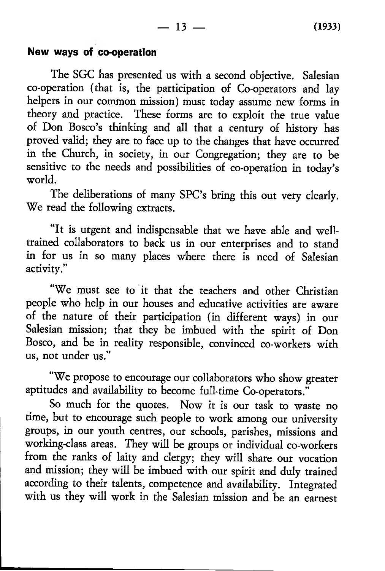### **New ways of co-operation**

The SGC has presented us with a second objective. Salesian co-operation (that is, the participation of Co-operators and lay helpers in our common mission) must today assume new forms in theory and practice. These forms are to exploit the true value of Don Bosco's thinking and all that a century of history has proved valid; they are to face up to the changes that have occurred in the Church, in society, in our Congregation; they are to be sensitive to the needs and possibilities of co-operation in today's world.

The deliberations of many SPC's bring this out very clearly. We read the following extracts.

"It is urgent and indispensable that we have able and welltrained collaborators to back us in our enterprises and to stand in for us in so many places where there is need of Salesian activity."

"We must see to it that the teachers and other Christian people who help in our houses and educative activities are aware of the nature of their participation (in different ways) in our Salesian mission; that they be imbued with the spirit of Don Bosco, and be in reality responsible, convinced co-workers with us, not under us."

"We propose to encourage our collaborators who show greater aptitudes and availability to become full-time Co-operators."

So much for the quotes. Now it is our task to waste no time, but to encourage such people to work among our university groups, in our youth centres, our schools, parishes, missions and working-class areas. They will be groups or individual co-workers from the ranks of laity and clergy; they will share our vocation and mission; they will be imbued with our spirit and duly trained according to their talents, competence and availability. Integrated with us they will work in the Salesian mission and be an earnest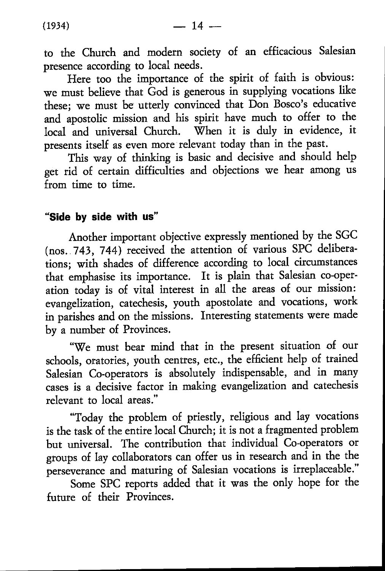to the Church and modern society of an efficacious Salesian presence according to local needs.

Here too the importance of the spirit of faith is obvious: we must believe that God is generous in supplying vocations like these; we must be utterly convinced that Don Bosco's educative and apostolic mission and his spirit have much to offer to the local and universal Church. When it is duly in evidence, it presents itself as even more relevant today than in the past.

This way of thinking is basic and decisive and should help get rid of certain difficulties and objections we hear among us from time to time.

## **"Side by side with us"**

Another important objective expressly mentioned by the SGC (nos. . 743, 744) received the attention of various SPC deliberations; with shades of difference according to local circumstances that emphasise its importance. It is plain that Salesian co-operation today is of vital interest in all the areas of our mission: evangelization, catechesis, youth apostolate and vocations, work in parishes and on the missions. Interesting statements were made by a number of Provinces.

"We must bear mind that in the present situation of our schools, oratories, youth centres, etc., the efficient help of trained Salesian Co-operators is absolutely indispensable, and in many cases is a decisive factor in making evangelization and catechesis relevant to local areas."

"Today the problem of priestly, religious and lay vocations is the task of the entire local Church; it is not a fragmented problem but universal. The contribution that individual Co-operators or groups of lay collaborators can offer us in research and in the the perseverance and maturing of Salesian vocations is irreplaceable."

Some SPC reports added that it was the only hope for the future of their Provinces.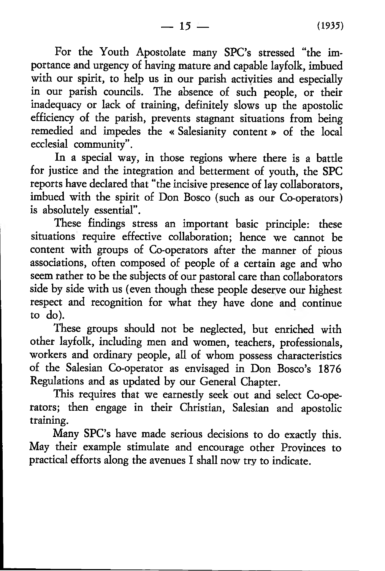For the Youth Apostolate many SPC's stressed "the importance and urgency of having mature and capable layfolk, imbued with our spirit, to help us in our parish activities and especially in our parish councils. The absence of such people, or their inadequacy or lack of training, definitely slows up the apostolic efficiency of the parish, prevents stagnant situations from being remedied and impedes the « Salesianity content » of the local ecclesial community".

In a special way, in those regions where there is a battle for justice and the integration and betterment of youth, the SPC reports have declared that "the incisive presence of lay collaborators, imbued with the spirit of Don Bosco (such as our Co-operators) is absolutely essential".

These findings stress an important basic principle: these situations require effective collaboration; hence we cannot be content with groups of Co-operators after the manner of pious associations, often composed of people of a certain age and who seem rather to be the subjects of our pastoral care than collaborators side by side with us (even though these people deserve our highest respect and recognition for what they have done and continue to do).

These groups should not be neglected, but enriched with other layfolk, including men and women, teachers, professionals, workers and ordinary people, all of whom possess characteristics of the Salesian Co-operator as envisaged in Don Bosco's 1876 Regulations and as updated by our General Chapter.

This requires that we earnestly seek out and select Co-operators; then engage in their Christian, Salesian and apostolic training.

Many SPC's have made serious decisions to do exactly this. May their example stimulate and encourage other Provinces to practical efforts along the avenues I shall now try to indicate.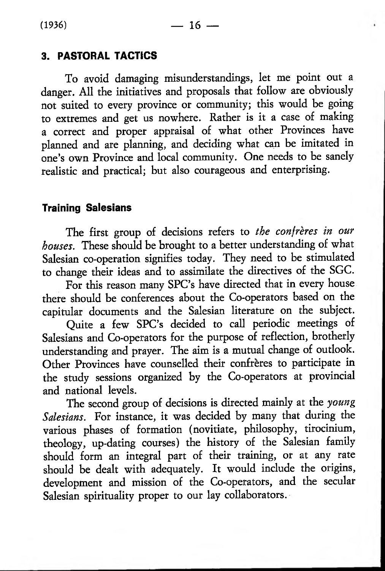# **3. PASTORAL TACTICS**

To avoid damaging misunderstandings, let me point out a danger. All the initiatives and proposals that follow are obviously not suited to every province or community; this would be going to extremes and get us nowhere. Rather is it a case of making a correct and proper appraisal of what other Provinces have planned and are planning, and deciding what can be imitated in one's own Province and local community. One needs to be sanely realistic and practical; but also courageous and enterprising.

## **Training Salesians**

The first group of decisions refers to *the confreres in our houses.* These should be brought to a better understanding of what Salesian co-operation signifies today. They need to be stimulated to change their ideas and to assimilate the directives of the SGC.

For this reason many SPC's have directed that in every house there should be conferences about the Co-operators based on the capitular documents and the Salesian literature on the subject.

Quite a few SPC's decided to call periodic meetings of Salesians and Co-operators for the purpose of reflection, brotherly understanding and prayer. The aim is a mutual change of outlook. Other Provinces have counselled their confreres to participate in the study sessions organized by the Co-operators at provincial and national levels.

The second group of decisions is directed mainly at the *young Salesians.* For instance, it was decided by many that during the various phases of formation (novitiate, philosophy, tirocinium, theology, up-dating courses) the history of the Salesian family should form an integral part of their training, or at any rate should be dealt with adequately. It would include the origins, development and mission of the Co-operators, and the secular Salesian spirituality proper to our lay collaborators.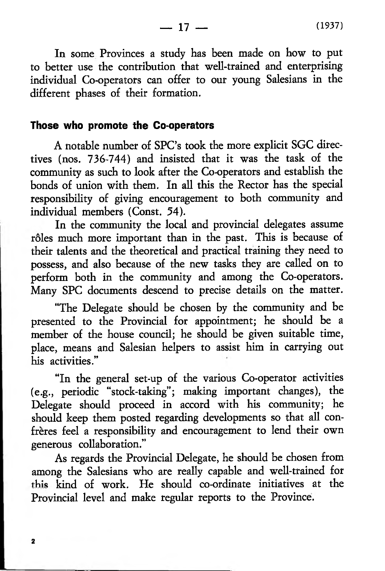In some Provinces a study has been made on how to put to better use the contribution that well-trained and enterprising individual Co-operators can offer to our young Salesians in the different phases of their formation.

 $-17-$ 

#### **Those who promote the Co-operators**

A notable number of SPC's took the more explicit SGC directives (nos. 736-744) and insisted that it was the task of the community as such to look after the Co-operators and establish the bonds of union with them. In all this the Rector has the special responsibility of giving encouragement to both community and individual members (Const. 54).

In the community the local and provincial delegates assume rôles much more important than in the past. This is because of their talents and the theoretical and practical training they need to possess, and also because of the new tasks they are called on to perform both in the community and among the Co-operators. Many SPC documents descend to precise details on the matter.

"The Delegate should be chosen by the community and be presented to the Provincial for appointment; he should be a member of the house council; he should be given suitable time, place, means and Salesian helpers to assist him in carrying out his activities."

"In the general set-up of the various Co-operator activities (e.g., periodic "stock-taking"; making important changes), the Delegate should proceed in accord with his community; he should keep them posted regarding developments so that all confrères feel a responsibility and encouragement to lend their own generous collaboration."

As regards the Provincial Delegate, he should be chosen from among the Salesians who are really capable and well-trained for this kind of work. He should co-ordinate initiatives at the Provincial level and make regular reports to the Province.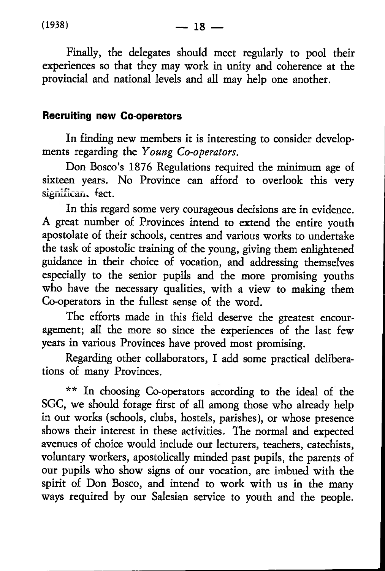Finally, the delegates should meet regularly to pool their experiences so that they may work in unity and coherence at the provincial and national levels and all may help one another.

## **Recruiting new Co-operators**

In finding new members it is interesting to consider developments regarding the *Young Co-operators.*

Don Bosco's 1876 Regulations required the minimum age of sixteen years. No Province can afford to overlook this very significan. fact.

In this regard some very courageous decisions are in evidence. A great number of Provinces intend to extend the entire youth apostolate of their schools, centres and various works to undertake the task of apostolic training of the young, giving them enlightened guidance in their choice of vocation, and addressing themselves especially to the senior pupils and the more promising youths who have the necessary qualities, with a view to making them Co-operators in the fullest sense of the word.

The efforts made in this field deserve the greatest encouragement; all the more so since the experiences of the last few years in various Provinces have proved most promising.

Regarding other collaborators, I add some practical deliberations of many Provinces.

\*\* In choosing Co-operators according to the ideal of the SGC, we should forage first of all among those who already help in our works (schools, clubs, hostels, parishes), or whose presence shows their interest in these activities. The normal and expected avenues of choice would include our lecturers, teachers, catechists, voluntary workers, apostolically minded past pupils, the parents of our pupils who show signs of our vocation, are imbued with the spirit of Don Bosco, and intend to work with us in the many ways required by our Salesian service to youth and the people.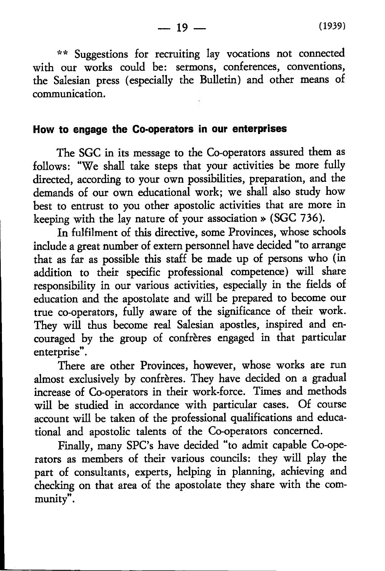\*\* Suggestions for recruiting lay vocations not connected with our works could be: sermons, conferences, conventions, the Salesian press (especially the Bulletin) and other means of communication.

### **How to engage the Co-operators in our enterprises**

The SGC in its message to the Co-operators assured them as follows: "We shall take steps that your activities be more fully directed, according to your own possibilities, preparation, and the demands of our own educational work; we shall also study how best to entrust to you other apostolic activities that are more in keeping with the lay nature of your association » (SGC 736).

In fulfilment of this directive, some Provinces, whose schools include a great number of extern personnel have decided "to arrange that as far as possible this staff be made up of persons who (in addition to their specific professional competence) will share responsibility in our various activities, especially in the fields of education and the apostolate and will be prepared to become our true co-operators, fully aware of the significance of their work. They will thus become real Salesian apostles, inspired and encouraged by the group of confreres engaged in that particular enterprise".

There are other Provinces, however, whose works are run almost exclusively by confrères. They have decided on a gradual increase of Co-operators in their work-force. Times and methods will be studied in accordance with particular cases. Of course account will be taken of the professional qualifications and educational and apostolic talents of the Co-operators concerned.

Finally, many SPC's have decided "to admit capable Co-operators as members of their various councils: they will play the part of consultants, experts, helping in planning, achieving and checking on that area of the apostolate they share with the community".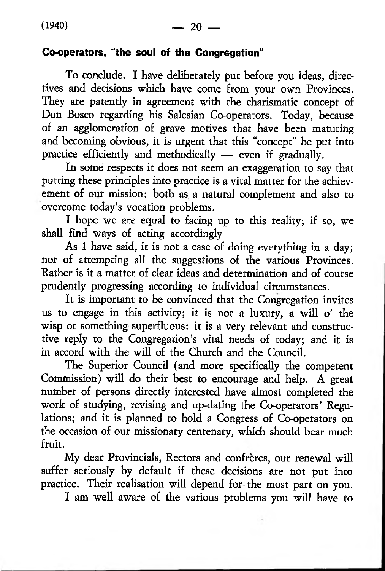## **Co-operators, "the soul of the Congregation"**

To conclude. I have deliberately put before you ideas, directives and decisions which have come from your own Provinces. They are patently in agreement with the charismatic concept of Don Bosco regarding his Salesian Co-operators. Today, because of an agglomeration of grave motives that have been maturing and becoming obvious, it is urgent that this "concept" be put into practice efficiently and methodically — even if gradually.

In some respects it does not seem an exaggeration to say that putting these principles into practice is a vital matter for the achievement of our mission: both as a natural complement and also to overcome today's vocation problems.

I hope we are equal to facing up to this reality; if so, we shall find ways of acting accordingly

As I have said, it is not a case of doing everything in a day; nor of attempting all the suggestions of the various Provinces. Rather is it a matter of clear ideas and determination and of course prudently progressing according to individual circumstances.

It is important to be convinced that the Congregation invites us to engage in this activity; it is not a luxury, a will o' the wisp or something superfluous: it is a very relevant and constructive reply to the Congregation's vital needs of today; and it is in accord with the will of the Church and the Council.

The Superior Council (and more specifically the competent Commission) will do their best to encourage and help. A great number of persons directly interested have almost completed the work of studying, revising and up-dating the Co-operators' Regulations; and it is planned to hold a Congress of Co-operators on the occasion of our missionary centenary, which should bear much fruit.

My dear Provincials, Rectors and confreres, our renewal will suffer seriously by default if these decisions are not put into practice. Their realisation will depend for the most part on you.

I am well aware of the various problems you will have to